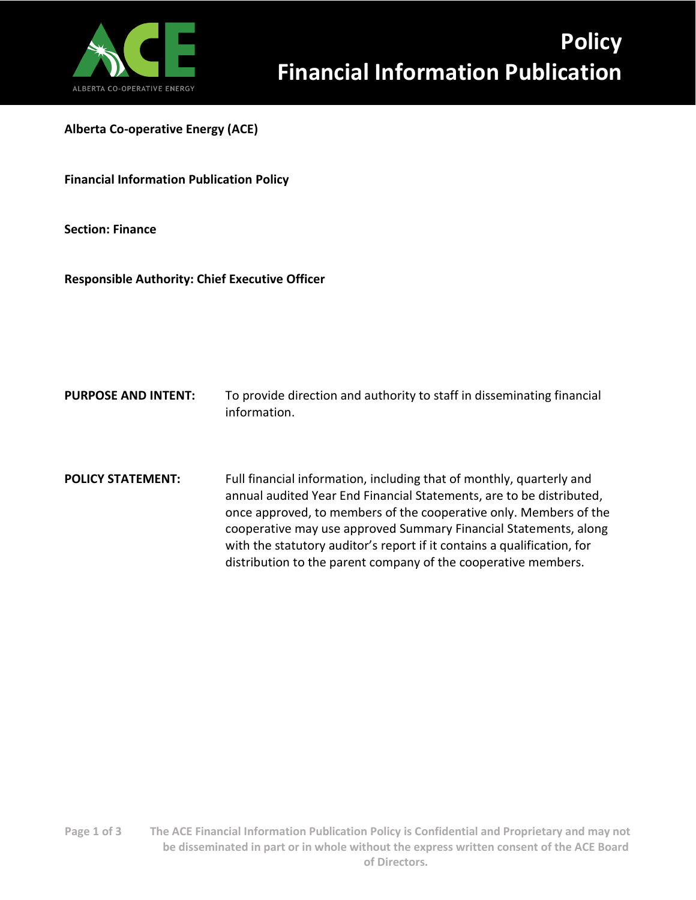

**Alberta Co-operative Energy (ACE)**

**Financial Information Publication Policy**

**Section: Finance**

**Responsible Authority: Chief Executive Officer** 

- **PURPOSE AND INTENT:** To provide direction and authority to staff in disseminating financial information.
- **POLICY STATEMENT:** Full financial information, including that of monthly, quarterly and annual audited Year End Financial Statements, are to be distributed, once approved, to members of the cooperative only. Members of the cooperative may use approved Summary Financial Statements, along with the statutory auditor's report if it contains a qualification, for distribution to the parent company of the cooperative members.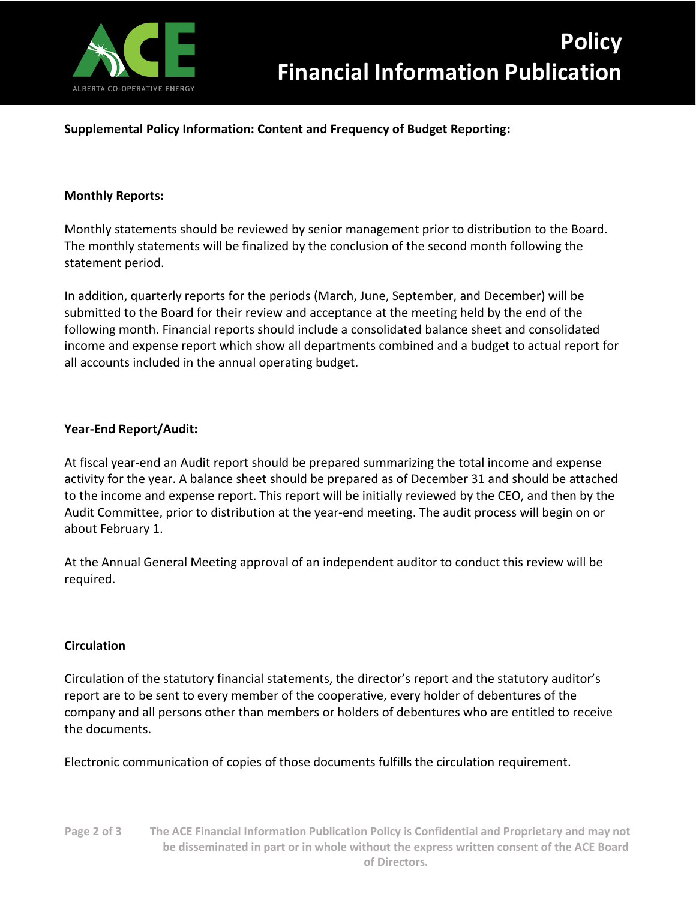

# **Supplemental Policy Information: Content and Frequency of Budget Reporting:**

### **Monthly Reports:**

Monthly statements should be reviewed by senior management prior to distribution to the Board. The monthly statements will be finalized by the conclusion of the second month following the statement period.

In addition, quarterly reports for the periods (March, June, September, and December) will be submitted to the Board for their review and acceptance at the meeting held by the end of the following month. Financial reports should include a consolidated balance sheet and consolidated income and expense report which show all departments combined and a budget to actual report for all accounts included in the annual operating budget.

# **Year-End Report/Audit:**

At fiscal year-end an Audit report should be prepared summarizing the total income and expense activity for the year. A balance sheet should be prepared as of December 31 and should be attached to the income and expense report. This report will be initially reviewed by the CEO, and then by the Audit Committee, prior to distribution at the year-end meeting. The audit process will begin on or about February 1.

At the Annual General Meeting approval of an independent auditor to conduct this review will be required.

#### **Circulation**

Circulation of the statutory financial statements, the director's report and the statutory auditor's report are to be sent to every member of the cooperative, every holder of debentures of the company and all persons other than members or holders of debentures who are entitled to receive the documents.

Electronic communication of copies of those documents fulfills the circulation requirement.